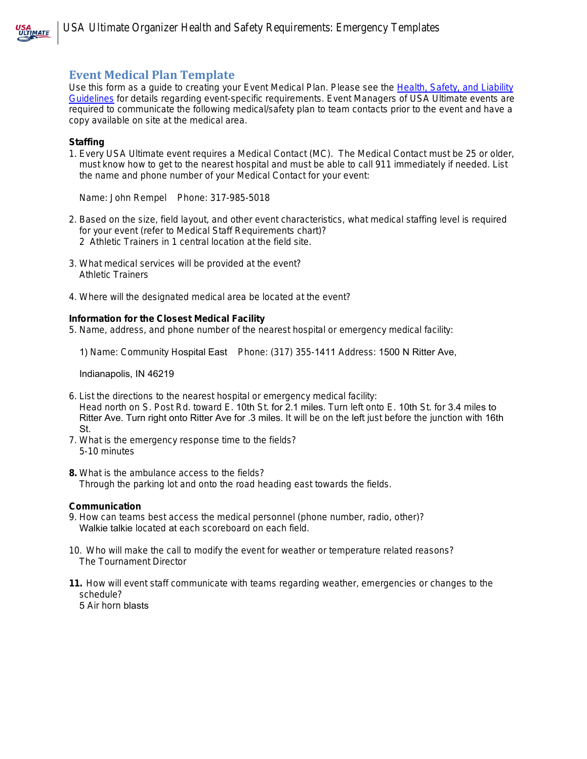

# **Event Medical Plan Template**

Use this form as a guide to creating your Event Medical Plan. Please see the [Health, Safety, and Liability](http://www.usaultimate.org/resources/organizer_resources/health_safety_and_liability_requirements.aspx)  [Guidelines](http://www.usaultimate.org/resources/organizer_resources/health_safety_and_liability_requirements.aspx) for details regarding event-specific requirements. Event Managers of USA Ultimate events are required to communicate the following medical/safety plan to team contacts prior to the event and have a copy available on site at the medical area.

### **Staffing**

1. Every USA Ultimate event requires a Medical Contact (MC). The Medical Contact must be 25 or older, must know how to get to the nearest hospital and must be able to call 911 immediately if needed. List the name and phone number of your Medical Contact for your event:

Name: John Rempel Phone: 317-985-5018

- 2. Based on the size, field layout, and other event characteristics, what medical staffing level is required for your event (refer to Medical Staff Requirements chart)? 2 Athletic Trainers in 1 central location at the field site.
- 3. What medical services will be provided at the event? Athletic Trainers
- 4. Where will the designated medical area be located at the event?

### **Information for the Closest Medical Facility**

5. Name, address, and phone number of the nearest hospital or emergency medical facility:

1) Name: Community Hospital East Phone: (317) 355-1411 Address: 1500 N Ritter Ave,

Indianapolis, IN 46219

- 6. List the directions to the nearest hospital or emergency medical facility: Head north on S. Post Rd. toward E. 10th St. for 2.1 miles. Turn left onto E. 10th St. for 3.4 miles to Ritter Ave. Turn right onto Ritter Ave for .3 miles. It will be on the left just before the junction with 16th St.
- 7. What is the emergency response time to the fields? 5-10 minutes
- **8.** What is the ambulance access to the fields? Through the parking lot and onto the road heading east towards the fields.

### **Communication**

- 9. How can teams best access the medical personnel (phone number, radio, other)? Walkie talkie located at each scoreboard on each field.
- 10. Who will make the call to modify the event for weather or temperature related reasons? The Tournament Director
- **11.** How will event staff communicate with teams regarding weather, emergencies or changes to the schedule?

5 Air horn blasts